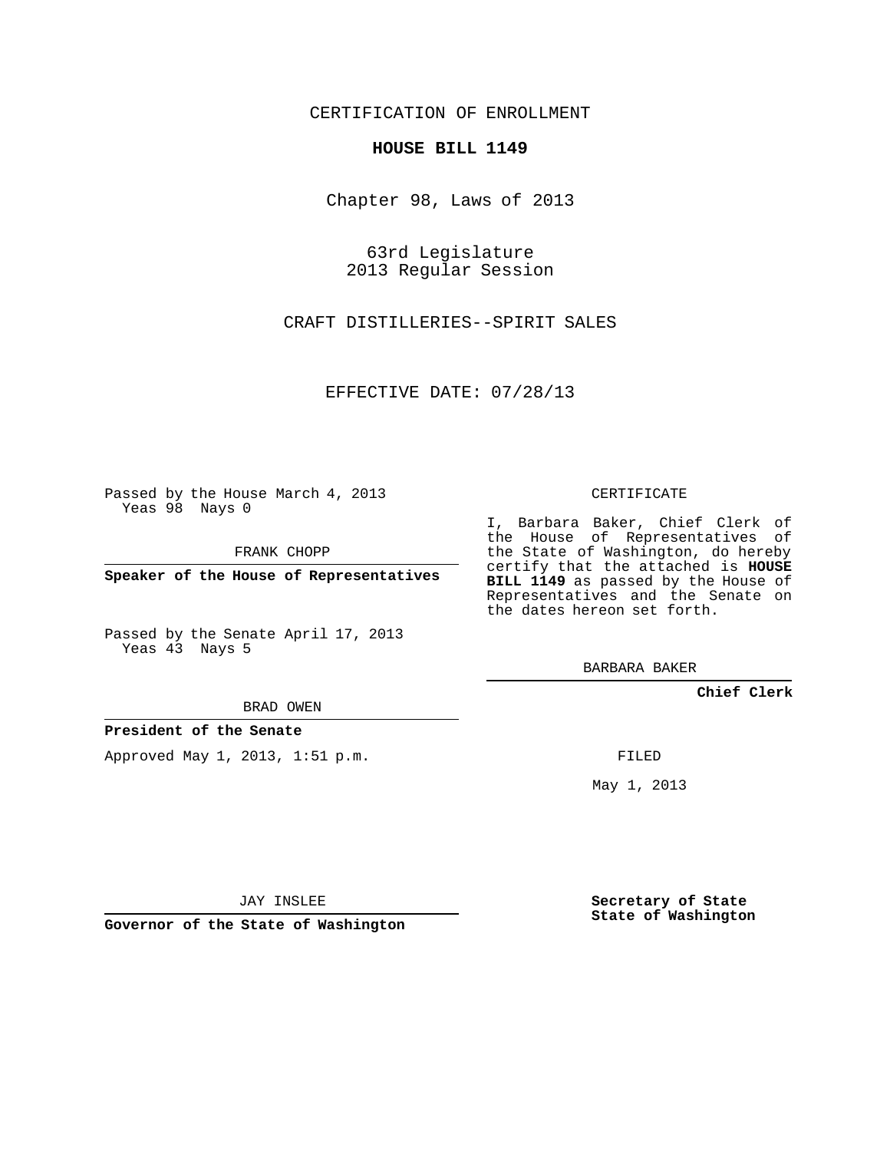CERTIFICATION OF ENROLLMENT

## **HOUSE BILL 1149**

Chapter 98, Laws of 2013

63rd Legislature 2013 Regular Session

CRAFT DISTILLERIES--SPIRIT SALES

EFFECTIVE DATE: 07/28/13

Passed by the House March 4, 2013 Yeas 98 Nays 0

FRANK CHOPP

**Speaker of the House of Representatives**

Passed by the Senate April 17, 2013 Yeas 43 Nays 5

BRAD OWEN

**President of the Senate**

Approved May 1, 2013, 1:51 p.m.

CERTIFICATE

I, Barbara Baker, Chief Clerk of the House of Representatives of the State of Washington, do hereby certify that the attached is **HOUSE BILL 1149** as passed by the House of Representatives and the Senate on the dates hereon set forth.

BARBARA BAKER

**Chief Clerk**

FILED

May 1, 2013

**Secretary of State State of Washington**

JAY INSLEE

**Governor of the State of Washington**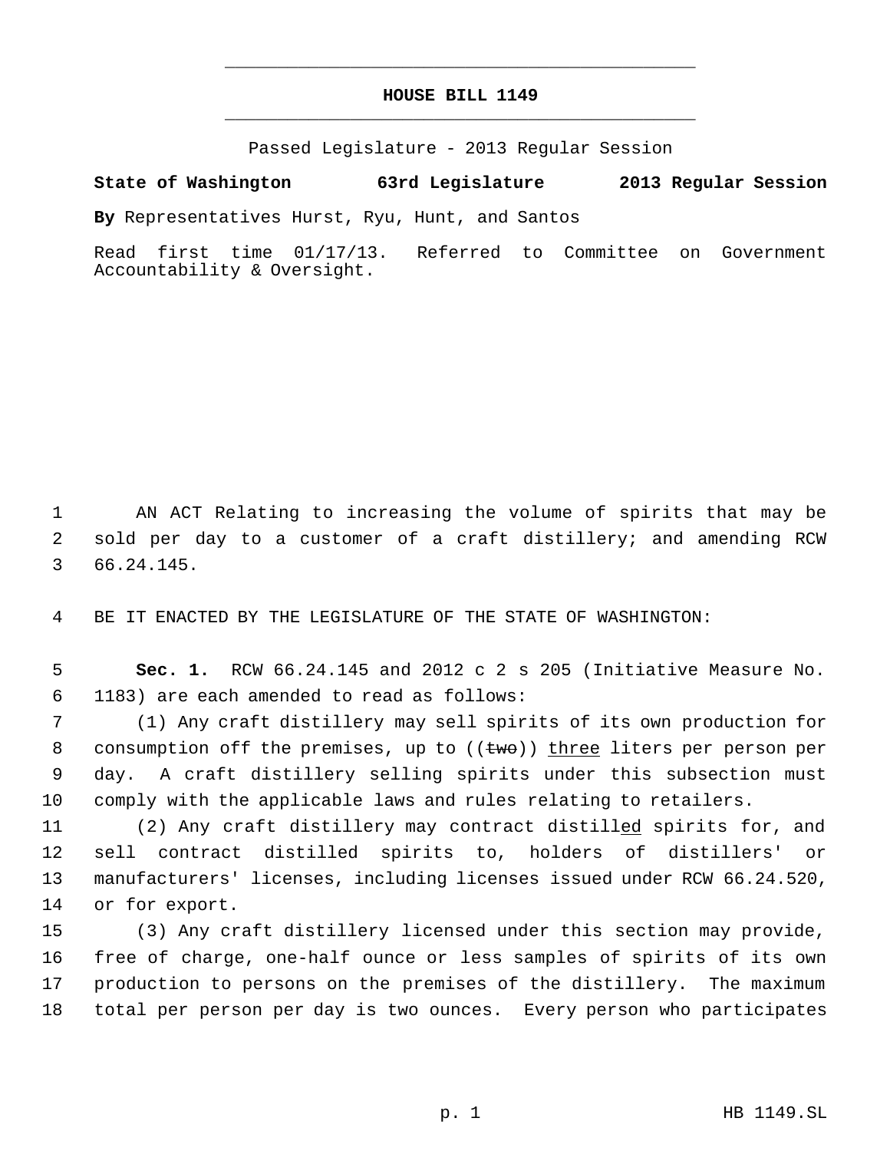## **HOUSE BILL 1149** \_\_\_\_\_\_\_\_\_\_\_\_\_\_\_\_\_\_\_\_\_\_\_\_\_\_\_\_\_\_\_\_\_\_\_\_\_\_\_\_\_\_\_\_\_

\_\_\_\_\_\_\_\_\_\_\_\_\_\_\_\_\_\_\_\_\_\_\_\_\_\_\_\_\_\_\_\_\_\_\_\_\_\_\_\_\_\_\_\_\_

Passed Legislature - 2013 Regular Session

## **State of Washington 63rd Legislature 2013 Regular Session**

**By** Representatives Hurst, Ryu, Hunt, and Santos

Read first time 01/17/13. Referred to Committee on Government Accountability & Oversight.

 1 AN ACT Relating to increasing the volume of spirits that may be 2 sold per day to a customer of a craft distillery; and amending RCW 3 66.24.145.

4 BE IT ENACTED BY THE LEGISLATURE OF THE STATE OF WASHINGTON:

 5 **Sec. 1.** RCW 66.24.145 and 2012 c 2 s 205 (Initiative Measure No. 6 1183) are each amended to read as follows:

 (1) Any craft distillery may sell spirits of its own production for 8 consumption off the premises, up to ((two)) three liters per person per day. A craft distillery selling spirits under this subsection must comply with the applicable laws and rules relating to retailers.

11 (2) Any craft distillery may contract distilled spirits for, and sell contract distilled spirits to, holders of distillers' or manufacturers' licenses, including licenses issued under RCW 66.24.520, or for export.

 (3) Any craft distillery licensed under this section may provide, free of charge, one-half ounce or less samples of spirits of its own production to persons on the premises of the distillery. The maximum total per person per day is two ounces. Every person who participates